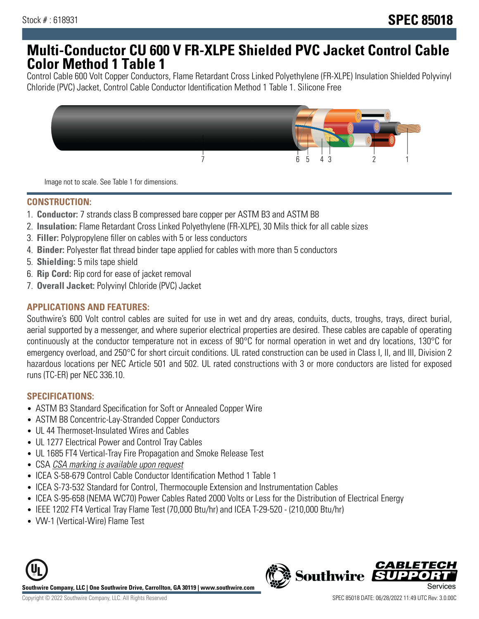## **Multi-Conductor CU 600 V FR-XLPE Shielded PVC Jacket Control Cable Color Method 1 Table 1**

Control Cable 600 Volt Copper Conductors, Flame Retardant Cross Linked Polyethylene (FR-XLPE) Insulation Shielded Polyvinyl Chloride (PVC) Jacket, Control Cable Conductor Identification Method 1 Table 1. Silicone Free



Image not to scale. See Table 1 for dimensions.

## **CONSTRUCTION:**

- 1. **Conductor:** 7 strands class B compressed bare copper per ASTM B3 and ASTM B8
- 2. **Insulation:** Flame Retardant Cross Linked Polyethylene (FR-XLPE), 30 Mils thick for all cable sizes
- 3. **Filler:** Polypropylene filler on cables with 5 or less conductors
- 4. **Binder:** Polyester flat thread binder tape applied for cables with more than 5 conductors
- 5. **Shielding:** 5 mils tape shield
- 6. **Rip Cord:** Rip cord for ease of jacket removal
- 7. **Overall Jacket:** Polyvinyl Chloride (PVC) Jacket

#### **APPLICATIONS AND FEATURES:**

Southwire's 600 Volt control cables are suited for use in wet and dry areas, conduits, ducts, troughs, trays, direct burial, aerial supported by a messenger, and where superior electrical properties are desired. These cables are capable of operating continuously at the conductor temperature not in excess of 90°C for normal operation in wet and dry locations, 130°C for emergency overload, and 250°C for short circuit conditions. UL rated construction can be used in Class I, II, and III, Division 2 hazardous locations per NEC Article 501 and 502. UL rated constructions with 3 or more conductors are listed for exposed runs (TC-ER) per NEC 336.10.

### **SPECIFICATIONS:**

- ASTM B3 Standard Specification for Soft or Annealed Copper Wire
- ASTM B8 Concentric-Lay-Stranded Copper Conductors
- UL 44 Thermoset-Insulated Wires and Cables
- UL 1277 Electrical Power and Control Tray Cables
- UL 1685 FT4 Vertical-Tray Fire Propagation and Smoke Release Test
- CSA CSA marking is available upon request
- ICEA S-58-679 Control Cable Conductor Identification Method 1 Table 1
- ICEA S-73-532 Standard for Control, Thermocouple Extension and Instrumentation Cables
- ICEA S-95-658 (NEMA WC70) Power Cables Rated 2000 Volts or Less for the Distribution of Electrical Energy
- IEEE 1202 FT4 Vertical Tray Flame Test (70,000 Btu/hr) and ICEA T-29-520 (210,000 Btu/hr)
- VW-1 (Vertical-Wire) Flame Test



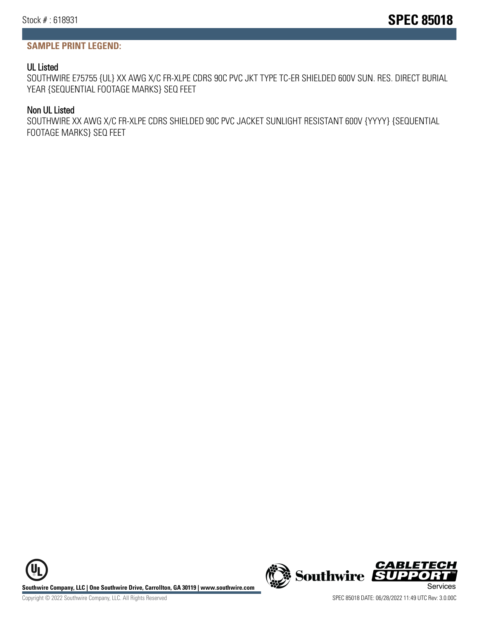## **SAMPLE PRINT LEGEND:**

## UL Listed

SOUTHWIRE E75755 {UL} XX AWG X/C FR-XLPE CDRS 90C PVC JKT TYPE TC-ER SHIELDED 600V SUN. RES. DIRECT BURIAL YEAR {SEQUENTIAL FOOTAGE MARKS} SEQ FEET

### Non UL Listed

SOUTHWIRE XX AWG X/C FR-XLPE CDRS SHIELDED 90C PVC JACKET SUNLIGHT RESISTANT 600V {YYYY} {SEQUENTIAL FOOTAGE MARKS} SEQ FEET